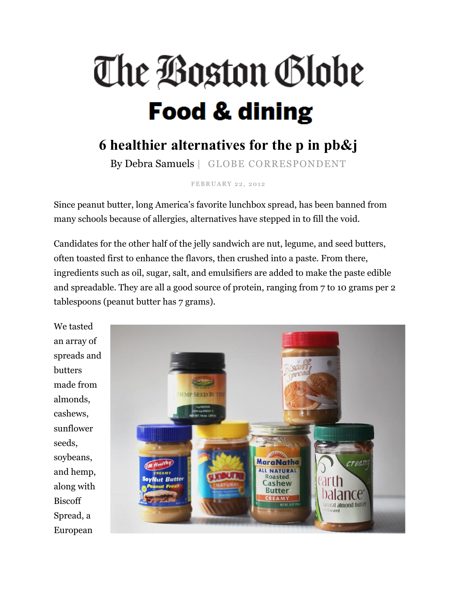# The Boston Globe **Food & dining**

# **6 healthier alternatives for the p in pb&j**

By Debra Samuels | GLOBE CORRESPONDENT

FEBRUARY 22, 2012

Since peanut butter, long America's favorite lunchbox spread, has been banned from many schools because of allergies, alternatives have stepped in to fill the void.

Candidates for the other half of the jelly sandwich are nut, legume, and seed butters, often toasted first to enhance the flavors, then crushed into a paste. From there, ingredients such as oil, sugar, salt, and emulsifiers are added to make the paste edible and spreadable. They are all a good source of protein, ranging from 7 to 10 grams per 2 tablespoons (peanut butter has 7 grams).

We tasted an array of spreads and butters made from almonds, cashews, sunflower seeds, soybeans, and hemp, along with Biscoff Spread, a European

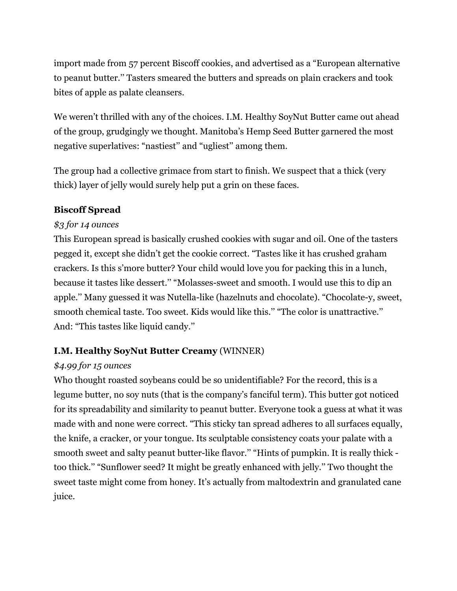import made from 57 percent Biscoff cookies, and advertised as a "European alternative to peanut butter.'' Tasters smeared the butters and spreads on plain crackers and took bites of apple as palate cleansers.

We weren't thrilled with any of the choices. I.M. Healthy SoyNut Butter came out ahead of the group, grudgingly we thought. Manitoba's Hemp Seed Butter garnered the most negative superlatives: "nastiest'' and "ugliest'' among them.

The group had a collective grimace from start to finish. We suspect that a thick (very thick) layer of jelly would surely help put a grin on these faces.

#### **Biscoff Spread**

#### *\$3 for 14 ounces*

This European spread is basically crushed cookies with sugar and oil. One of the tasters pegged it, except she didn't get the cookie correct. "Tastes like it has crushed graham crackers. Is this s'more butter? Your child would love you for packing this in a lunch, because it tastes like dessert.'' "Molasses-sweet and smooth. I would use this to dip an apple.'' Many guessed it was Nutella-like (hazelnuts and chocolate). "Chocolate-y, sweet, smooth chemical taste. Too sweet. Kids would like this.'' "The color is unattractive.'' And: "This tastes like liquid candy.''

#### **I.M. Healthy SoyNut Butter Creamy** (WINNER)

#### *\$4.99 for 15 ounces*

Who thought roasted soybeans could be so unidentifiable? For the record, this is a legume butter, no soy nuts (that is the company's fanciful term). This butter got noticed for its spreadability and similarity to peanut butter. Everyone took a guess at what it was made with and none were correct. "This sticky tan spread adheres to all surfaces equally, the knife, a cracker, or your tongue. Its sculptable consistency coats your palate with a smooth sweet and salty peanut butter-like flavor.'' "Hints of pumpkin. It is really thick too thick.'' "Sunflower seed? It might be greatly enhanced with jelly.'' Two thought the sweet taste might come from honey. It's actually from maltodextrin and granulated cane juice.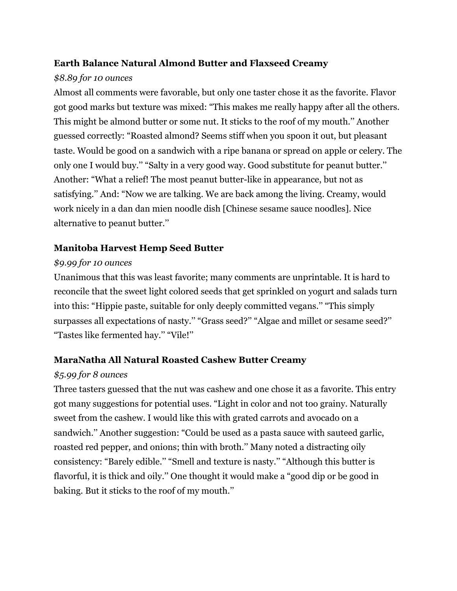### **Earth Balance Natural Almond Butter and Flaxseed Creamy**

## *\$8.89 for 10 ounces*

Almost all comments were favorable, but only one taster chose it as the favorite. Flavor got good marks but texture was mixed: "This makes me really happy after all the others. This might be almond butter or some nut. It sticks to the roof of my mouth.'' Another guessed correctly: "Roasted almond? Seems stiff when you spoon it out, but pleasant taste. Would be good on a sandwich with a ripe banana or spread on apple or celery. The only one I would buy.'' "Salty in a very good way. Good substitute for peanut butter.'' Another: "What a relief! The most peanut butter-like in appearance, but not as satisfying.'' And: "Now we are talking. We are back among the living. Creamy, would work nicely in a dan dan mien noodle dish [Chinese sesame sauce noodles]. Nice alternative to peanut butter.''

# **Manitoba Harvest Hemp Seed Butter**

#### *\$9.99 for 10 ounces*

Unanimous that this was least favorite; many comments are unprintable. It is hard to reconcile that the sweet light colored seeds that get sprinkled on yogurt and salads turn into this: "Hippie paste, suitable for only deeply committed vegans.'' "This simply surpasses all expectations of nasty.'' "Grass seed?'' "Algae and millet or sesame seed?'' "Tastes like fermented hay.'' "Vile!''

## **MaraNatha All Natural Roasted Cashew Butter Creamy**

## *\$5.99 for 8 ounces*

Three tasters guessed that the nut was cashew and one chose it as a favorite. This entry got many suggestions for potential uses. "Light in color and not too grainy. Naturally sweet from the cashew. I would like this with grated carrots and avocado on a sandwich.'' Another suggestion: "Could be used as a pasta sauce with sauteed garlic, roasted red pepper, and onions; thin with broth.'' Many noted a distracting oily consistency: "Barely edible.'' "Smell and texture is nasty.'' "Although this butter is flavorful, it is thick and oily.'' One thought it would make a "good dip or be good in baking. But it sticks to the roof of my mouth.''